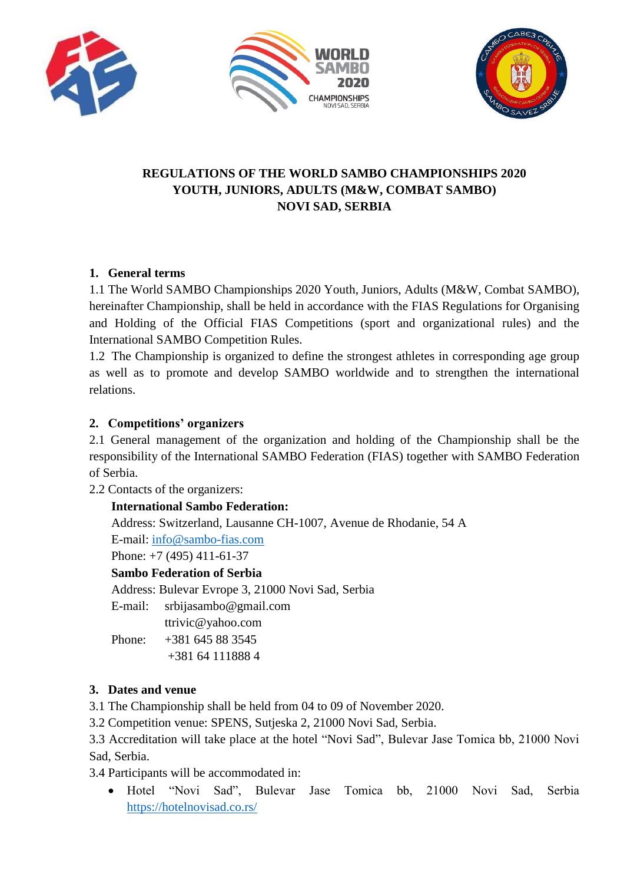





## **REGULATIONS OF THE WORLD SAMBO CHAMPIONSHIPS 2020 YOUTH, JUNIORS, ADULTS (M&W, COMBAT SAMBO) NOVI SAD, SERBIA**

## **1. General terms**

1.1 The World SAMBO Championships 2020 Youth, Juniors, Adults (M&W, Combat SAMBO), hereinafter Championship, shall be held in accordance with the FIAS Regulations for Organising and Holding of the Official FIAS Competitions (sport and organizational rules) and the International SAMBO Competition Rules.

1.2 The Championship is organized to define the strongest athletes in corresponding age group as well as to promote and develop SAMBO worldwide and to strengthen the international relations.

### **2. Competitions' organizers**

2.1 General management of the organization and holding of the Championship shall be the responsibility of the International SAMBO Federation (FIAS) together with SAMBO Federation of Serbia.

2.2 Contacts of the organizers:

#### **International Sambo Federation:**

Address: Switzerland, Lausanne CH-1007, Avenue de Rhodanie, 54 A

E-mail: [info@sambo-fias.com](mailto:info@sambo-fias.com)

Phone: +7 (495) 411-61-37

#### **Sambo Federation of Serbia**

Address: Bulevar Evrope 3, 21000 Novi Sad, Serbia

E-mail: [srbijasambo@gmail.com](mailto:srbijasambo@gmail.com)

[ttrivic@yahoo.com](mailto:ttrivic@yahoo.com)

Phone: [+381](tel:+381645883545) 645 88 3545

# +381 64 [111888](tel:+38121450199) 4

### **3. Dates and venue**

3.1 The Championship shall be held from 04 to 09 of November 2020.

3.2 Competition venue: SPENS, Sutjeska 2, 21000 Novi Sad, Serbia.

3.3 Accreditation will take place at the hotel "Novi Sad", Bulevar Jase Tomica bb, 21000 Novi Sad, Serbia.

3.4 Participants will be accommodated in:

 Hotel "Novi Sad", Bulevar Jase Tomica bb, 21000 Novi Sad, Serbia <https://hotelnovisad.co.rs/>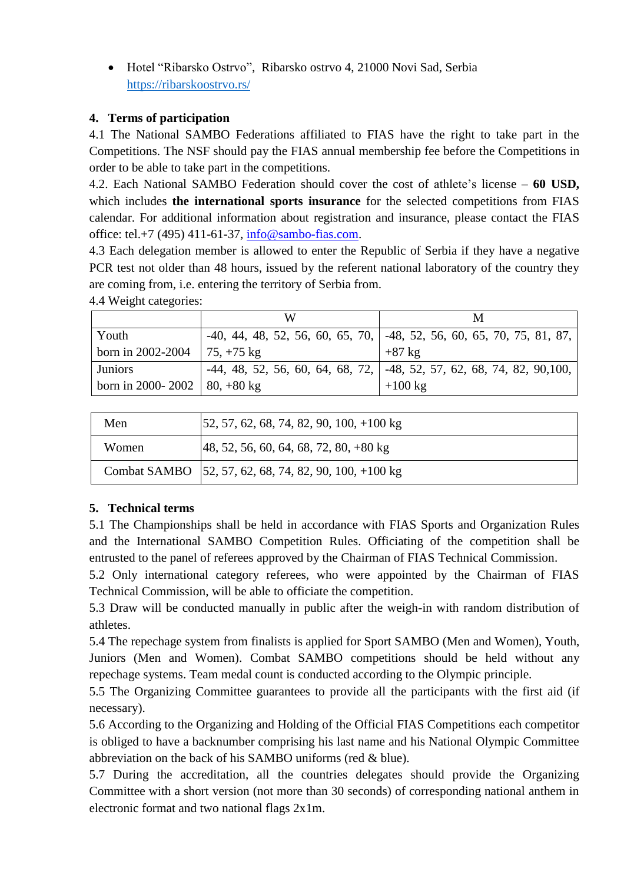Hotel "Ribarsko Ostrvo", Ribarsko ostrvo 4, 21000 Novi Sad, Serbia <https://ribarskoostrvo.rs/>

## **4. Terms of participation**

4.1 The National SAMBO Federations affiliated to FIAS have the right to take part in the Competitions. The NSF should pay the FIAS annual membership fee before the Competitions in order to be able to take part in the competitions.

4.2. Each National SAMBO Federation should cover the cost of athlete's license – **60 USD,**  which includes **the international sports insurance** for the selected competitions from FIAS calendar. For additional information about registration and insurance, please contact the FIAS office: tel.+7 (495) 411-61-37, [info@sambo-fias.com.](mailto:info@sambo-fias.com)

4.3 Each delegation member is allowed to enter the Republic of Serbia if they have a negative PCR test not older than 48 hours, issued by the referent national laboratory of the country they are coming from, i.e. entering the territory of Serbia from.

|                   | W                      |                                                                          |
|-------------------|------------------------|--------------------------------------------------------------------------|
| Youth             |                        | $-40, 44, 48, 52, 56, 60, 65, 70, -48, 52, 56, 60, 65, 70, 75, 81, 87,$  |
| born in 2002-2004 | $\frac{75}{75}$ +75 kg | $+87$ kg                                                                 |
| <b>Juniors</b>    |                        | $-44, 48, 52, 56, 60, 64, 68, 72, -48, 52, 57, 62, 68, 74, 82, 90, 100,$ |
| born in 2000-2002 | $80, +80$ kg           | $+100$ kg                                                                |

4.4 Weight categories:

| Men   | $[52, 57, 62, 68, 74, 82, 90, 100, +100 \text{ kg}]$    |
|-------|---------------------------------------------------------|
| Women | $(48, 52, 56, 60, 64, 68, 72, 80, +80 \text{ kg})$      |
|       | Combat SAMBO   52, 57, 62, 68, 74, 82, 90, 100, +100 kg |

### **5. Technical terms**

5.1 The Championships shall be held in accordance with FIAS Sports and Organization Rules and the International SAMBO Competition Rules. Officiating of the competition shall be entrusted to the panel of referees approved by the Chairman of FIAS Technical Commission.

5.2 Only international category referees, who were appointed by the Chairman of FIAS Technical Commission, will be able to officiate the competition.

5.3 Draw will be conducted manually in public after the weigh-in with random distribution of athletes.

5.4 The repechage system from finalists is applied for Sport SAMBO (Men and Women), Youth, Juniors (Men and Women). Combat SAMBO competitions should be held without any repechage systems. Team medal count is conducted according to the Olympic principle.

5.5 The Organizing Committee guarantees to provide all the participants with the first aid (if necessary).

5.6 According to the Organizing and Holding of the Official FIAS Competitions each competitor is obliged to have a backnumber comprising his last name and his National Olympic Committee abbreviation on the back of his SAMBO uniforms (red & blue).

5.7 During the accreditation, all the countries delegates should provide the Organizing Committee with a short version (not more than 30 seconds) of corresponding national anthem in electronic format and two national flags 2х1m.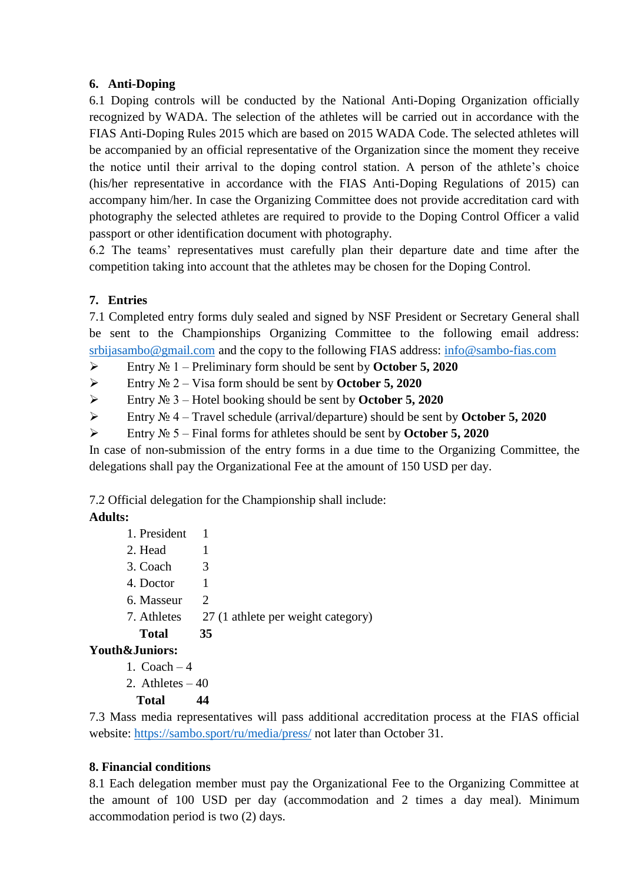### **6. Anti-Doping**

6.1 Doping controls will be conducted by the National Anti-Doping Organization officially recognized by WADA. The selection of the athletes will be carried out in accordance with the FIAS Anti-Doping Rules 2015 which are based on 2015 WADA Code. The selected athletes will be accompanied by an official representative of the Organization since the moment they receive the notice until their arrival to the doping control station. A person of the athlete's choice (his/her representative in accordance with the FIAS Anti-Doping Regulations of 2015) can accompany him/her. In case the Organizing Committee does not provide accreditation card with photography the selected athletes are required to provide to the Doping Control Officer a valid passport or other identification document with photography.

6.2 The teams' representatives must carefully plan their departure date and time after the competition taking into account that the athletes may be chosen for the Doping Control.

## **7. Entries**

7.1 Completed entry forms duly sealed and signed by NSF President or Secretary General shall be sent to the Championships Organizing Committee to the following email address: [srbijasambo@gmail.com](mailto:srbijasambo@gmail.com) and the copy to the following FIAS address: [info@sambo-fias.com](mailto:info@sambo-fias.com)

Entry № 1 – Preliminary form should be sent by **October 5, 2020**

Entry № 2 – Visa form should be sent by **October 5, 2020**

Entry № 3 – Hotel booking should be sent by **October 5, 2020**

Entry № 4 – Travel schedule (arrival/departure) should be sent by **October 5, 2020**

Entry № 5 – Final forms for athletes should be sent by **October 5, 2020**

In case of non-submission of the entry forms in a due time to the Organizing Committee, the delegations shall pay the Organizational Fee at the amount of 150 USD per day.

7.2 Official delegation for the Championship shall include:

## **Adults:**

- 1. President 1
- 2. Head 1
- 3. Coach 3
- 4. Doctor 1
- 6. Masseur 2
- 7. Athletes 27 (1 athlete per weight category)
	- **Total 35**

### **Youth&Juniors:**

- 1.  $Coach 4$
- 2. Athletes  $-40$

### **Total 44**

7.3 Mass media representatives will pass additional accreditation process at the FIAS official website:<https://sambo.sport/ru/media/press/> not later than October 31.

### **8. Financial conditions**

8.1 Each delegation member must pay the Organizational Fee to the Organizing Committee at the amount of 100 USD per day (accommodation and 2 times a day meal). Minimum accommodation period is two (2) days.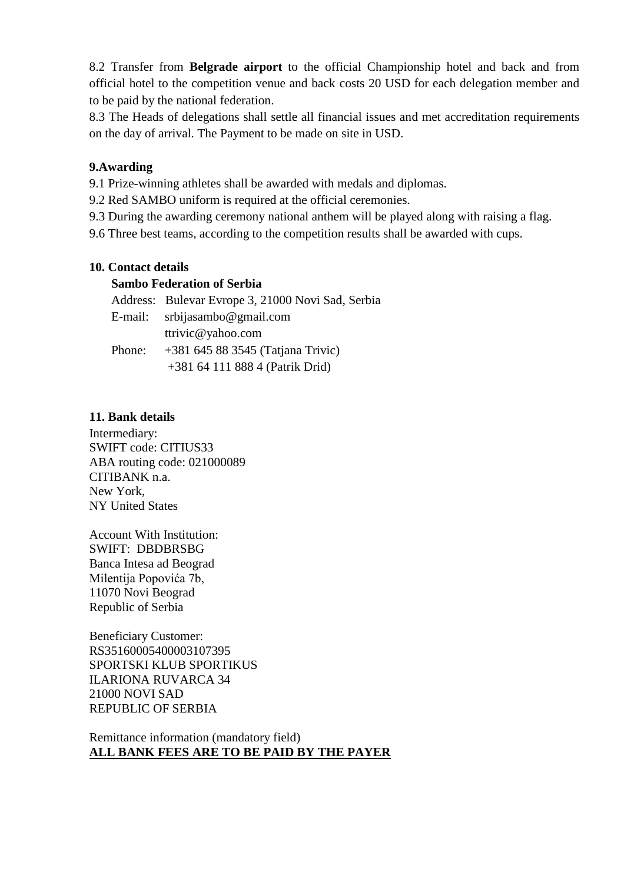8.2 Transfer from **Belgrade airport** to the official Championship hotel and back and from official hotel to the competition venue and back costs 20 USD for each delegation member and to be paid by the national federation.

8.3 The Heads of delegations shall settle all financial issues and met accreditation requirements on the day of arrival. The Payment to be made on site in USD.

### **9.Awarding**

9.1 Prize-winning athletes shall be awarded with medals and diplomas.

9.2 Red SAMBO uniform is required at the official ceremonies.

9.3 During the awarding ceremony national anthem will be played along with raising a flag.

9.6 Three best teams, according to the competition results shall be awarded with cups.

#### **10. Contact details**

#### **Sambo Federation of Serbia**

Address: Bulevar Evrope 3, 21000 Novi Sad, Serbia E-mail: [srbijasambo@gmail.com](mailto:srbijasambo@gmail.com)  [ttrivic@yahoo.com](mailto:ttrivic@yahoo.com) Phone: [+381](tel:+381645883545) 645 88 3545 (Tatjana Trivic) [+381](tel:+38121450199) 64 111 888 4 (Patrik Drid)

#### **11. Bank details**

Intermediary: SWIFT code: CITIUS33 ABA routing code: [021000089](http://www.tgbr.com/tgbr/detail.html?rtn=10584648021000089&sec=7) CITIBANK n.a. New York, NY United States

Account With Institution: SWIFT: DBDBRSBG Banca Intesa ad Beograd Milentija Popovića 7b, 11070 Novi Beograd Republic of Serbia

Beneficiary Customer: RS35160005400003107395 SPORTSKI KLUB SPORTIKUS ILARIONA RUVARCA 34 21000 NOVI SAD REPUBLIC OF SERBIA

Remittance information (mandatory field) **ALL BANK FEES ARE TO BE PAID BY THE PAYER**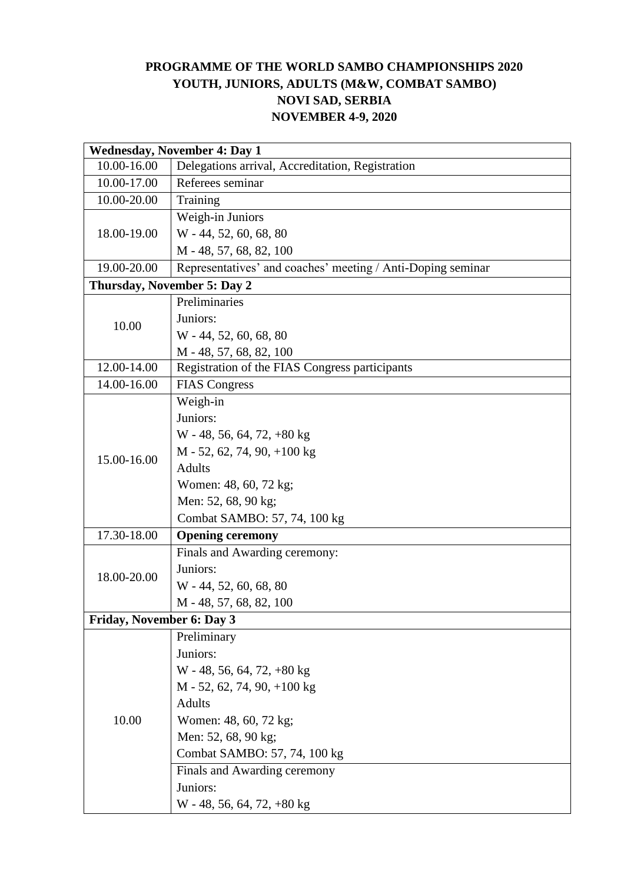## **PROGRAMME OF THE WORLD SAMBO CHAMPIONSHIPS 2020 YOUTH, JUNIORS, ADULTS (M&W, COMBAT SAMBO) NOVI SAD, SERBIA NOVEMBER 4-9, 2020**

| <b>Wednesday, November 4: Day 1</b> |                                                             |  |  |
|-------------------------------------|-------------------------------------------------------------|--|--|
| 10.00-16.00                         | Delegations arrival, Accreditation, Registration            |  |  |
| 10.00-17.00                         | Referees seminar                                            |  |  |
| 10.00-20.00                         | Training                                                    |  |  |
|                                     | Weigh-in Juniors                                            |  |  |
| 18.00-19.00                         | W - 44, 52, 60, 68, 80                                      |  |  |
|                                     | M - 48, 57, 68, 82, 100                                     |  |  |
| 19.00-20.00                         | Representatives' and coaches' meeting / Anti-Doping seminar |  |  |
|                                     | Thursday, November 5: Day 2                                 |  |  |
|                                     | Preliminaries                                               |  |  |
| 10.00                               | Juniors:                                                    |  |  |
|                                     | W - 44, 52, 60, 68, 80                                      |  |  |
|                                     | M - 48, 57, 68, 82, 100                                     |  |  |
| 12.00-14.00                         | Registration of the FIAS Congress participants              |  |  |
| 14.00-16.00                         | <b>FIAS Congress</b>                                        |  |  |
|                                     | Weigh-in                                                    |  |  |
|                                     | Juniors:                                                    |  |  |
|                                     | $W - 48, 56, 64, 72, +80$ kg                                |  |  |
| 15.00-16.00                         | $M - 52$ , 62, 74, 90, +100 kg                              |  |  |
|                                     | <b>Adults</b>                                               |  |  |
|                                     | Women: 48, 60, 72 kg;                                       |  |  |
|                                     | Men: 52, 68, 90 kg;                                         |  |  |
|                                     | Combat SAMBO: 57, 74, 100 kg                                |  |  |
| 17.30-18.00                         | <b>Opening ceremony</b>                                     |  |  |
|                                     | Finals and Awarding ceremony:                               |  |  |
| 18.00-20.00                         | Juniors:                                                    |  |  |
|                                     | W - 44, 52, 60, 68, 80                                      |  |  |
|                                     | M - 48, 57, 68, 82, 100                                     |  |  |
| Friday, November 6: Day 3           |                                                             |  |  |
|                                     | Preliminary                                                 |  |  |
|                                     | Juniors:                                                    |  |  |
|                                     | $W - 48, 56, 64, 72, +80$ kg                                |  |  |
|                                     | $M - 52$ , 62, 74, 90, +100 kg                              |  |  |
|                                     | <b>Adults</b>                                               |  |  |
| 10.00                               | Women: 48, 60, 72 kg;                                       |  |  |
|                                     | Men: 52, 68, 90 kg;                                         |  |  |
|                                     | Combat SAMBO: 57, 74, 100 kg                                |  |  |
|                                     | Finals and Awarding ceremony                                |  |  |
|                                     | Juniors:                                                    |  |  |
|                                     | $W - 48, 56, 64, 72, +80 kg$                                |  |  |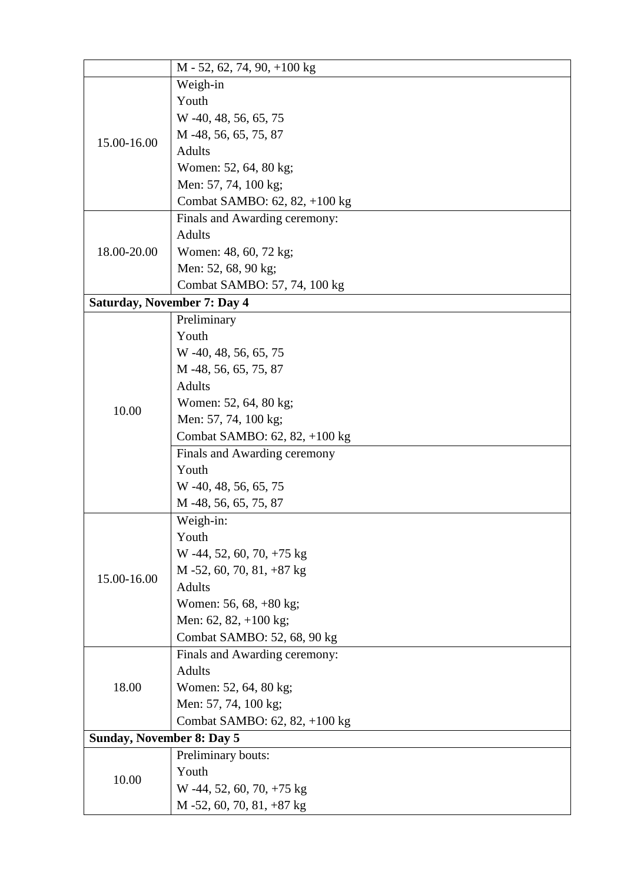|                             | $M - 52$ , 62, 74, 90, +100 kg   |  |  |
|-----------------------------|----------------------------------|--|--|
|                             | Weigh-in                         |  |  |
|                             | Youth                            |  |  |
|                             | W -40, 48, 56, 65, 75            |  |  |
|                             | M -48, 56, 65, 75, 87            |  |  |
| 15.00-16.00                 | <b>Adults</b>                    |  |  |
|                             | Women: 52, 64, 80 kg;            |  |  |
|                             | Men: 57, 74, 100 kg;             |  |  |
|                             | Combat SAMBO: 62, 82, +100 kg    |  |  |
|                             | Finals and Awarding ceremony:    |  |  |
|                             | <b>Adults</b>                    |  |  |
| 18.00-20.00                 | Women: 48, 60, 72 kg;            |  |  |
|                             | Men: 52, 68, 90 kg;              |  |  |
|                             | Combat SAMBO: 57, 74, 100 kg     |  |  |
| Saturday, November 7: Day 4 |                                  |  |  |
|                             | Preliminary                      |  |  |
|                             | Youth                            |  |  |
|                             | W -40, 48, 56, 65, 75            |  |  |
|                             | M -48, 56, 65, 75, 87            |  |  |
|                             | <b>Adults</b>                    |  |  |
| 10.00                       | Women: 52, 64, 80 kg;            |  |  |
|                             | Men: 57, 74, 100 kg;             |  |  |
|                             | Combat SAMBO: 62, 82, +100 kg    |  |  |
|                             | Finals and Awarding ceremony     |  |  |
|                             | Youth                            |  |  |
|                             | W -40, 48, 56, 65, 75            |  |  |
|                             | M -48, 56, 65, 75, 87            |  |  |
|                             | Weigh-in:                        |  |  |
|                             | Youth                            |  |  |
|                             | W -44, 52, 60, 70, +75 kg        |  |  |
| 15.00-16.00                 | $M - 52$ , 60, 70, 81, +87 kg    |  |  |
|                             | <b>Adults</b>                    |  |  |
|                             | Women: 56, 68, +80 kg;           |  |  |
|                             | Men: 62, 82, $+100$ kg;          |  |  |
|                             | Combat SAMBO: 52, 68, 90 kg      |  |  |
|                             | Finals and Awarding ceremony:    |  |  |
|                             | <b>Adults</b>                    |  |  |
| 18.00                       | Women: 52, 64, 80 kg;            |  |  |
|                             | Men: 57, 74, 100 kg;             |  |  |
|                             | Combat SAMBO: 62, 82, +100 kg    |  |  |
|                             | <b>Sunday, November 8: Day 5</b> |  |  |
|                             | Preliminary bouts:               |  |  |
| 10.00                       | Youth                            |  |  |
|                             | W -44, 52, 60, 70, $+75$ kg      |  |  |
|                             | $M - 52$ , 60, 70, 81, +87 kg    |  |  |